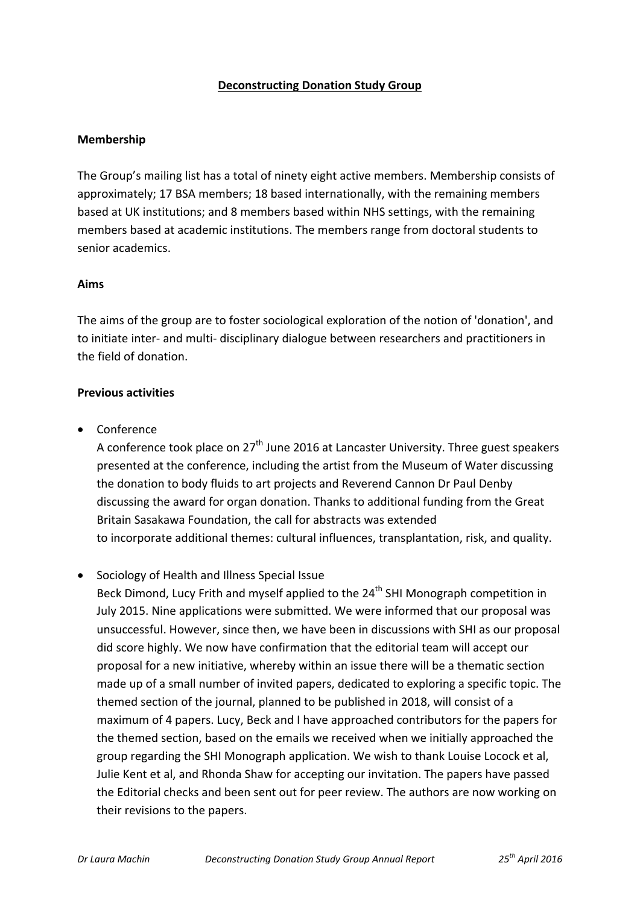# **Deconstructing Donation Study Group**

# **Membership**

The Group's mailing list has a total of ninety eight active members. Membership consists of approximately; 17 BSA members; 18 based internationally, with the remaining members based at UK institutions; and 8 members based within NHS settings, with the remaining members based at academic institutions. The members range from doctoral students to senior academics.

#### **Aims**

The aims of the group are to foster sociological exploration of the notion of 'donation', and to initiate inter‐ and multi‐ disciplinary dialogue between researchers and practitioners in the field of donation.

# **Previous activities**

• Conference

A conference took place on  $27<sup>th</sup>$  June 2016 at Lancaster University. Three guest speakers presented at the conference, including the artist from the Museum of Water discussing the donation to body fluids to art projects and Reverend Cannon Dr Paul Denby discussing the award for organ donation. Thanks to additional funding from the Great Britain Sasakawa Foundation, the call for abstracts was extended to incorporate additional themes: cultural influences, transplantation, risk, and quality.

Sociology of Health and Illness Special Issue

Beck Dimond, Lucy Frith and myself applied to the 24<sup>th</sup> SHI Monograph competition in July 2015. Nine applications were submitted. We were informed that our proposal was unsuccessful. However, since then, we have been in discussions with SHI as our proposal did score highly. We now have confirmation that the editorial team will accept our proposal for a new initiative, whereby within an issue there will be a thematic section made up of a small number of invited papers, dedicated to exploring a specific topic. The themed section of the journal, planned to be published in 2018, will consist of a maximum of 4 papers. Lucy, Beck and I have approached contributors for the papers for the themed section, based on the emails we received when we initially approached the group regarding the SHI Monograph application. We wish to thank Louise Locock et al, Julie Kent et al, and Rhonda Shaw for accepting our invitation. The papers have passed the Editorial checks and been sent out for peer review. The authors are now working on their revisions to the papers.